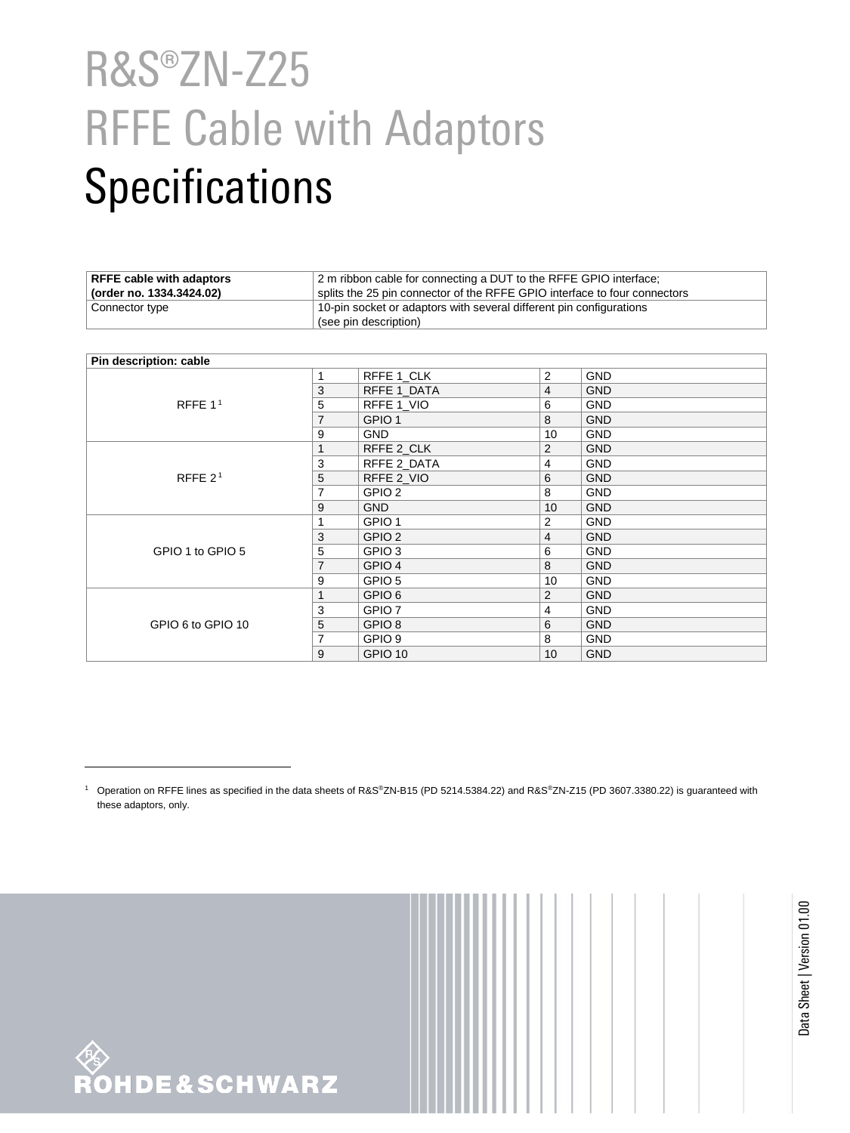## R&S®ZN-Z25 RFFE Cable with Adaptors **Specifications**

| <b>RFFE cable with adaptors</b> | 2 m ribbon cable for connecting a DUT to the RFFE GPIO interface;         |  |
|---------------------------------|---------------------------------------------------------------------------|--|
| (order no. 1334.3424.02)        | splits the 25 pin connector of the RFFE GPIO interface to four connectors |  |
| Connector type                  | 10-pin socket or adaptors with several different pin configurations       |  |
|                                 | $\overline{\phantom{a}}$ (see pin description)                            |  |

<span id="page-0-0"></span>

| Pin description: cable |                |                   |                |            |
|------------------------|----------------|-------------------|----------------|------------|
| RFFE $11$              | 1              | RFFE 1_CLK        | 2              | <b>GND</b> |
|                        | 3              | RFFE 1_DATA       | $\overline{4}$ | <b>GND</b> |
|                        | 5              | RFFE 1_VIO        | 6              | <b>GND</b> |
|                        | $\overline{7}$ | GPIO <sub>1</sub> | 8              | <b>GND</b> |
|                        | 9              | GND.              | 10             | <b>GND</b> |
| RFFE $21$              | 1              | RFFE 2 CLK        | 2              | <b>GND</b> |
|                        | 3              | RFFE 2_DATA       | 4              | <b>GND</b> |
|                        | 5              | RFFE 2 VIO        | 6              | <b>GND</b> |
|                        | 7              | GPIO <sub>2</sub> | 8              | <b>GND</b> |
|                        | 9              | <b>GND</b>        | 10             | <b>GND</b> |
|                        |                | GPIO <sub>1</sub> | 2              | <b>GND</b> |
| GPIO 1 to GPIO 5       | 3              | GPIO <sub>2</sub> | $\overline{4}$ | <b>GND</b> |
|                        | 5              | GPIO <sub>3</sub> | 6              | <b>GND</b> |
|                        | $\overline{7}$ | GPIO <sub>4</sub> | 8              | <b>GND</b> |
|                        | 9              | GPIO <sub>5</sub> | 10             | <b>GND</b> |
| GPIO 6 to GPIO 10      | 1              | GPIO <sub>6</sub> | 2              | <b>GND</b> |
|                        | 3              | GPIO <sub>7</sub> | 4              | <b>GND</b> |
|                        | 5              | GPIO <sub>8</sub> | 6              | <b>GND</b> |
|                        | $\overline{7}$ | GPIO <sub>9</sub> | 8              | <b>GND</b> |
|                        | 9              | GPIO 10           | 10             | <b>GND</b> |



 $\overline{a}$ 

<sup>1</sup> Operation on RFFE lines as specified in the data sheets of R&S®ZN-B15 (PD 5214.5384.22) and R&S®ZN-Z15 (PD 3607.3380.22) is guaranteed with these adaptors, only.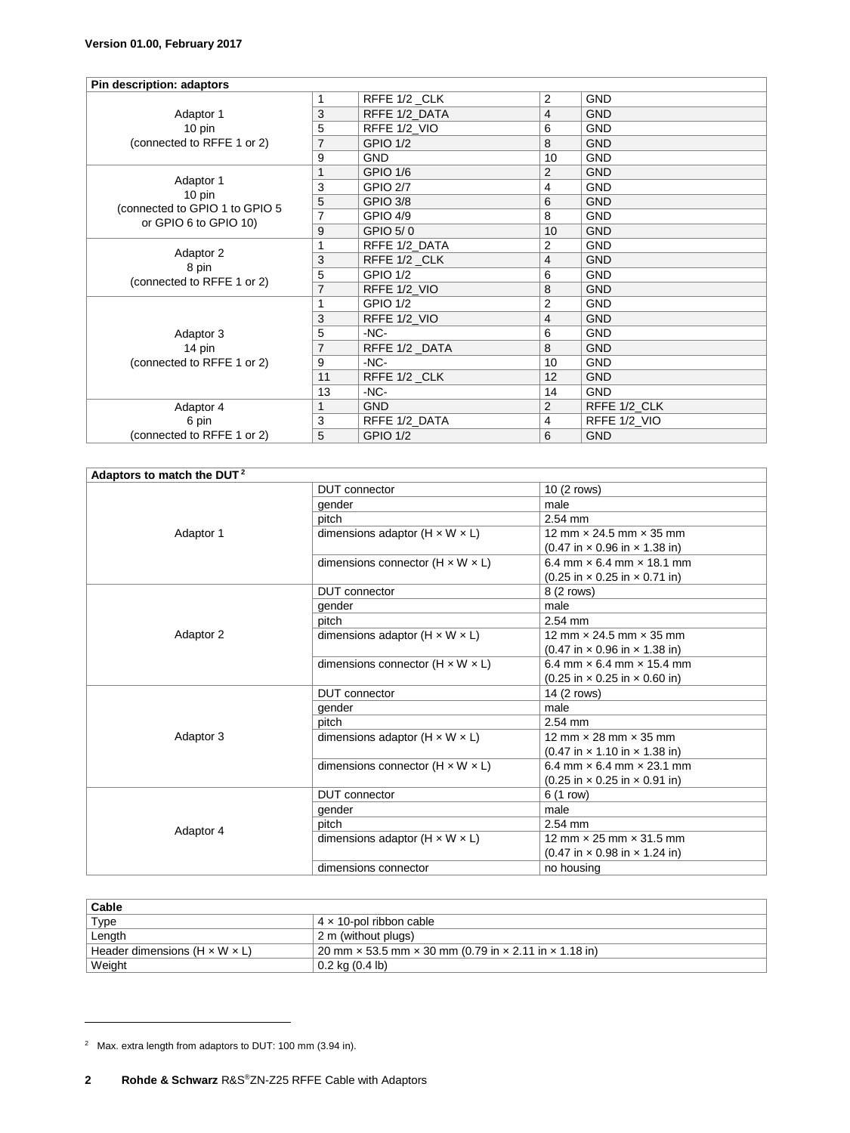| Pin description: adaptors                        |                |                 |                |              |
|--------------------------------------------------|----------------|-----------------|----------------|--------------|
|                                                  | 1              | RFFE 1/2_CLK    | 2              | <b>GND</b>   |
| Adaptor 1<br>10 pin                              | 3              | RFFE 1/2 DATA   | 4              | <b>GND</b>   |
|                                                  | 5              | RFFE 1/2 VIO    | 6              | <b>GND</b>   |
| (connected to RFFE 1 or 2)                       | 7              | <b>GPIO 1/2</b> | 8              | <b>GND</b>   |
|                                                  | 9              | <b>GND</b>      | 10             | <b>GND</b>   |
|                                                  | 1              | <b>GPIO 1/6</b> | 2              | <b>GND</b>   |
| Adaptor 1<br>10 pin                              | 3              | <b>GPIO 2/7</b> | 4              | <b>GND</b>   |
| (connected to GPIO 1 to GPIO 5                   | 5              | <b>GPIO 3/8</b> | 6              | <b>GND</b>   |
| or GPIO 6 to GPIO 10)                            | $\overline{7}$ | GPIO 4/9        | 8              | <b>GND</b>   |
|                                                  | 9              | GPIO 5/0        | 10             | <b>GND</b>   |
|                                                  | 1              | RFFE 1/2_DATA   | 2              | <b>GND</b>   |
| Adaptor 2<br>8 pin<br>(connected to RFFE 1 or 2) | 3              | RFFE 1/2_CLK    | 4              | <b>GND</b>   |
|                                                  | 5              | <b>GPIO 1/2</b> | 6              | <b>GND</b>   |
|                                                  | $\overline{7}$ | RFFE 1/2_VIO    | 8              | <b>GND</b>   |
|                                                  | 1              | <b>GPIO 1/2</b> | $\overline{2}$ | <b>GND</b>   |
|                                                  | 3              | RFFE 1/2_VIO    | $\overline{4}$ | <b>GND</b>   |
| Adaptor 3                                        | 5              | $-NC-$          | 6              | <b>GND</b>   |
| 14 pin                                           | $\overline{7}$ | RFFE 1/2_DATA   | 8              | <b>GND</b>   |
| (connected to RFFE 1 or 2)                       | 9              | $-NC-$          | 10             | <b>GND</b>   |
|                                                  | 11             | RFFE 1/2_CLK    | 12             | <b>GND</b>   |
|                                                  | 13             | $-NC-$          | 14             | <b>GND</b>   |
| Adaptor 4                                        | 1              | <b>GND</b>      | $\overline{2}$ | RFFE 1/2_CLK |
| 6 pin                                            | 3              | RFFE 1/2_DATA   | 4              | RFFE 1/2_VIO |
| (connected to RFFE 1 or 2)                       | 5              | <b>GPIO 1/2</b> | 6              | <b>GND</b>   |

| Adaptors to match the DUT <sup>2</sup> |                                              |                                                                   |  |
|----------------------------------------|----------------------------------------------|-------------------------------------------------------------------|--|
| Adaptor 1                              | <b>DUT</b> connector                         | 10 (2 rows)                                                       |  |
|                                        | gender                                       | male                                                              |  |
|                                        | pitch                                        | 2.54 mm                                                           |  |
|                                        | dimensions adaptor $(H \times W \times L)$   | 12 mm x 24.5 mm x 35 mm                                           |  |
|                                        |                                              | $(0.47 \text{ in} \times 0.96 \text{ in} \times 1.38 \text{ in})$ |  |
|                                        | dimensions connector $(H \times W \times L)$ | 6.4 mm $\times$ 6.4 mm $\times$ 18.1 mm                           |  |
|                                        |                                              | $(0.25 \text{ in} \times 0.25 \text{ in} \times 0.71 \text{ in})$ |  |
|                                        | DUT connector                                | 8 (2 rows)                                                        |  |
| Adaptor 2                              | gender                                       | male                                                              |  |
|                                        | pitch                                        | $2.54$ mm                                                         |  |
|                                        | dimensions adaptor $(H \times W \times L)$   | 12 mm $\times$ 24.5 mm $\times$ 35 mm                             |  |
|                                        |                                              | $(0.47 \text{ in} \times 0.96 \text{ in} \times 1.38 \text{ in})$ |  |
|                                        | dimensions connector $(H \times W \times L)$ | 6.4 mm $\times$ 6.4 mm $\times$ 15.4 mm                           |  |
|                                        |                                              | $(0.25 \text{ in} \times 0.25 \text{ in} \times 0.60 \text{ in})$ |  |
|                                        | <b>DUT</b> connector                         | 14 (2 rows)                                                       |  |
|                                        | gender                                       | male                                                              |  |
|                                        | pitch                                        | $2.54$ mm                                                         |  |
| Adaptor 3                              | dimensions adaptor $(H \times W \times L)$   | 12 mm $\times$ 28 mm $\times$ 35 mm                               |  |
|                                        |                                              | $(0.47 \text{ in} \times 1.10 \text{ in} \times 1.38 \text{ in})$ |  |
|                                        | dimensions connector $(H \times W \times L)$ | 6.4 mm $\times$ 6.4 mm $\times$ 23.1 mm                           |  |
|                                        |                                              | $(0.25 \text{ in} \times 0.25 \text{ in} \times 0.91 \text{ in})$ |  |
| Adaptor 4                              | <b>DUT</b> connector                         | 6 (1 row)                                                         |  |
|                                        | gender                                       | male                                                              |  |
|                                        | pitch                                        | 2.54 mm                                                           |  |
|                                        | dimensions adaptor $(H \times W \times L)$   | 12 mm $\times$ 25 mm $\times$ 31.5 mm                             |  |
|                                        |                                              | $(0.47 \text{ in} \times 0.98 \text{ in} \times 1.24 \text{ in})$ |  |
|                                        | dimensions connector                         | no housing                                                        |  |

| Cable                                       |                                                                                   |
|---------------------------------------------|-----------------------------------------------------------------------------------|
| Type<br>4 x 10-pol ribbon cable             |                                                                                   |
| Length                                      | 2 m (without plugs)                                                               |
| Header dimensions ( $H \times W \times L$ ) | 20 mm $\times$ 53.5 mm $\times$ 30 mm (0.79 in $\times$ 2.11 in $\times$ 1.18 in) |
| Weight                                      | $0.2$ kg $(0.4 \text{ lb})$                                                       |

 $\overline{a}$ 

<sup>2</sup> Max. extra length from adaptors to DUT: 100 mm (3.94 in).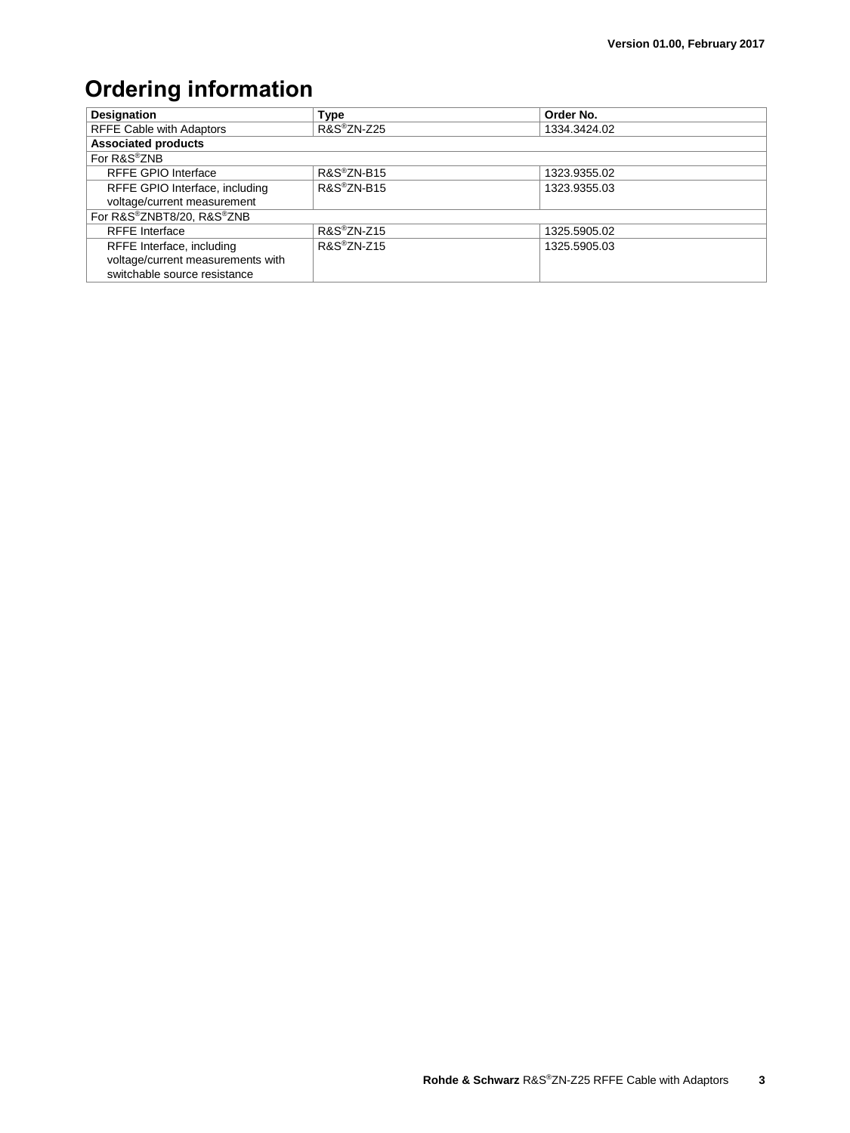## **Ordering information**

| Designation                       | <b>Type</b>               | Order No.    |  |  |  |
|-----------------------------------|---------------------------|--------------|--|--|--|
| <b>RFFE Cable with Adaptors</b>   | R&S®ZN-Z25                | 1334.3424.02 |  |  |  |
| <b>Associated products</b>        |                           |              |  |  |  |
| For R&S®ZNB                       |                           |              |  |  |  |
| <b>RFFE GPIO Interface</b>        | R&S®ZN-B15                | 1323.9355.02 |  |  |  |
| RFFE GPIO Interface, including    | R&S®ZN-B15                | 1323.9355.03 |  |  |  |
| voltage/current measurement       |                           |              |  |  |  |
| For R&S®ZNBT8/20, R&S®ZNB         |                           |              |  |  |  |
| <b>RFFE</b> Interface             | $R\&S^{\circledR}ZN$ -Z15 | 1325.5905.02 |  |  |  |
| RFFE Interface, including         | $R&S^{\otimes}ZN$ -Z15    | 1325.5905.03 |  |  |  |
| voltage/current measurements with |                           |              |  |  |  |
| switchable source resistance      |                           |              |  |  |  |